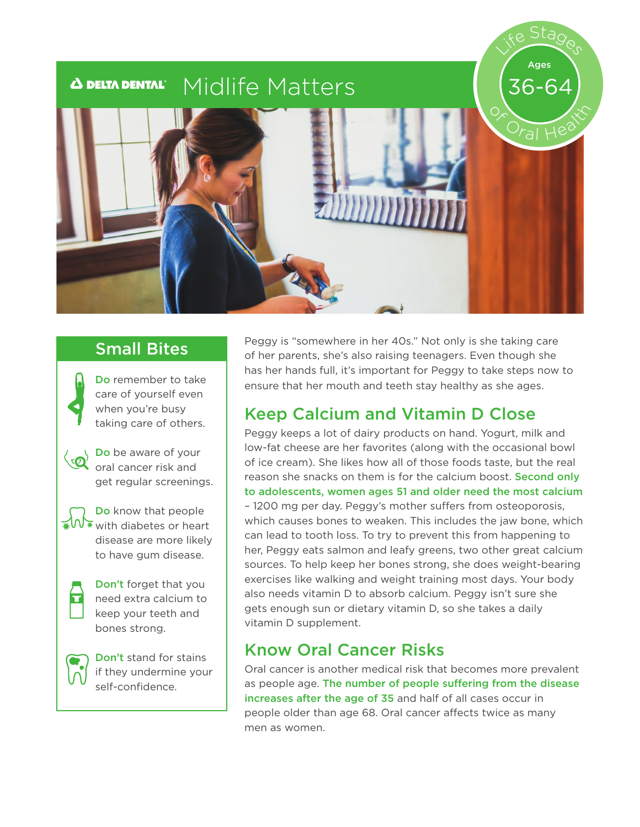# Life Stages Ages Midlife Matters  $\boldsymbol{\Delta}$  delta dental $^{\circ}$ 36-64  $O$ ral He<sup>r</sup>

Do remember to take care of yourself even when you're busy taking care of others.



Do be aware of your oral cancer risk and get regular screenings.

Do know that people  $\mathbf{W}$  with diabetes or heart disease are more likely to have gum disease.



Don't forget that you need extra calcium to keep your teeth and bones strong.



Don't stand for stains if they undermine your self-confidence.

Small Bites Peggy is "somewhere in her 40s." Not only is she taking care of her parents, she's also raising teenagers. Even though she has her hands full, it's important for Peggy to take steps now to ensure that her mouth and teeth stay healthy as she ages.

# Keep Calcium and Vitamin D Close

Peggy keeps a lot of dairy products on hand. Yogurt, milk and low-fat cheese are her favorites (along with the occasional bowl of ice cream). She likes how all of those foods taste, but the real reason she snacks on them is for the calcium boost. Second only to adolescents, women ages 51 and older need the most calcium – 1200 mg per day. Peggy's mother suffers from osteoporosis, which causes bones to weaken. This includes the jaw bone, which can lead to tooth loss. To try to prevent this from happening to her, Peggy eats salmon and leafy greens, two other great calcium sources. To help keep her bones strong, she does weight-bearing exercises like walking and weight training most days. Your body also needs vitamin D to absorb calcium. Peggy isn't sure she gets enough sun or dietary vitamin D, so she takes a daily vitamin D supplement.

# Know Oral Cancer Risks

Oral cancer is another medical risk that becomes more prevalent as people age. The number of people suffering from the disease increases after the age of 35 and half of all cases occur in people older than age 68. Oral cancer affects twice as many men as women.